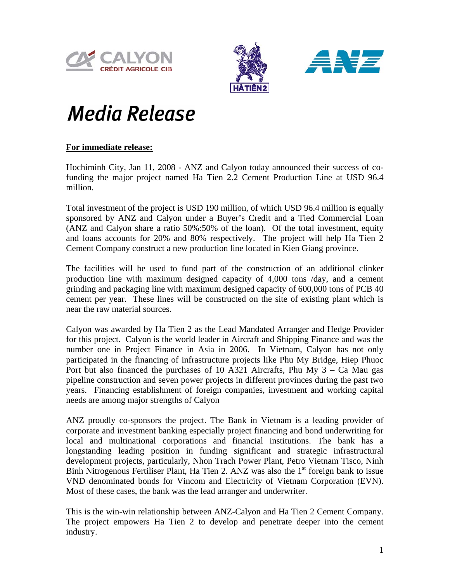





## **Media Release**

## **For immediate release:**

Hochiminh City, Jan 11, 2008 - ANZ and Calyon today announced their success of cofunding the major project named Ha Tien 2.2 Cement Production Line at USD 96.4 million.

Total investment of the project is USD 190 million, of which USD 96.4 million is equally sponsored by ANZ and Calyon under a Buyer's Credit and a Tied Commercial Loan (ANZ and Calyon share a ratio 50%:50% of the loan). Of the total investment, equity and loans accounts for 20% and 80% respectively. The project will help Ha Tien 2 Cement Company construct a new production line located in Kien Giang province.

The facilities will be used to fund part of the construction of an additional clinker production line with maximum designed capacity of 4,000 tons /day, and a cement grinding and packaging line with maximum designed capacity of 600,000 tons of PCB 40 cement per year. These lines will be constructed on the site of existing plant which is near the raw material sources.

Calyon was awarded by Ha Tien 2 as the Lead Mandated Arranger and Hedge Provider for this project. Calyon is the world leader in Aircraft and Shipping Finance and was the number one in Project Finance in Asia in 2006. In Vietnam, Calyon has not only participated in the financing of infrastructure projects like Phu My Bridge, Hiep Phuoc Port but also financed the purchases of 10 A321 Aircrafts, Phu My  $3 - Ca$  Mau gas pipeline construction and seven power projects in different provinces during the past two years. Financing establishment of foreign companies, investment and working capital needs are among major strengths of Calyon

ANZ proudly co-sponsors the project. The Bank in Vietnam is a leading provider of corporate and investment banking especially project financing and bond underwriting for local and multinational corporations and financial institutions. The bank has a longstanding leading position in funding significant and strategic infrastructural development projects, particularly, Nhon Trach Power Plant, Petro Vietnam Tisco, Ninh Binh Nitrogenous Fertiliser Plant, Ha Tien 2. ANZ was also the  $1<sup>st</sup>$  foreign bank to issue VND denominated bonds for Vincom and Electricity of Vietnam Corporation (EVN). Most of these cases, the bank was the lead arranger and underwriter.

This is the win-win relationship between ANZ-Calyon and Ha Tien 2 Cement Company. The project empowers Ha Tien 2 to develop and penetrate deeper into the cement industry.